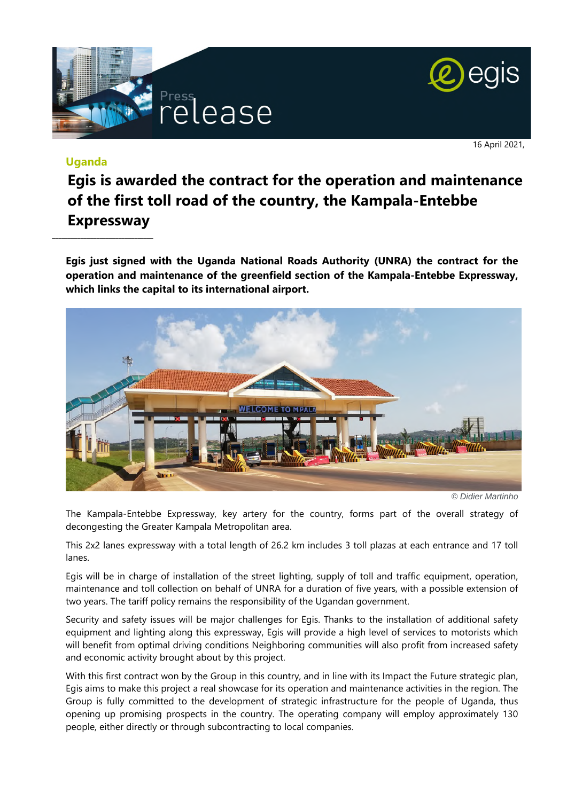



16 April 2021,

## **Uganda**

 $\_$ 

## **Egis is awarded the contract for the operation and maintenance of the first toll road of the country, the Kampala-Entebbe Expressway**

**Egis just signed with the Uganda National Roads Authority (UNRA) the contract for the operation and maintenance of the greenfield section of the Kampala-Entebbe Expressway, which links the capital to its international airport.** 



*© Didier Martinho*

The Kampala-Entebbe Expressway, key artery for the country, forms part of the overall strategy of decongesting the Greater Kampala Metropolitan area.

This 2x2 lanes expressway with a total length of 26.2 km includes 3 toll plazas at each entrance and 17 toll lanes.

Egis will be in charge of installation of the street lighting, supply of toll and traffic equipment, operation, maintenance and toll collection on behalf of UNRA for a duration of five years, with a possible extension of two years. The tariff policy remains the responsibility of the Ugandan government.

Security and safety issues will be major challenges for Egis. Thanks to the installation of additional safety equipment and lighting along this expressway, Egis will provide a high level of services to motorists which will benefit from optimal driving conditions Neighboring communities will also profit from increased safety and economic activity brought about by this project.

With this first contract won by the Group in this country, and in line with its Impact the Future strategic plan, Egis aims to make this project a real showcase for its operation and maintenance activities in the region. The Group is fully committed to the development of strategic infrastructure for the people of Uganda, thus opening up promising prospects in the country. The operating company will employ approximately 130 people, either directly or through subcontracting to local companies.